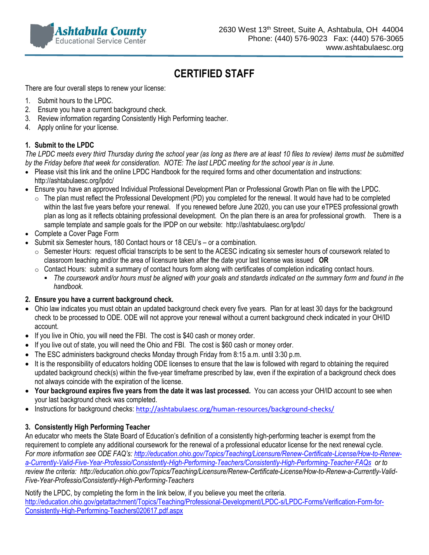

# **CERTIFIED STAFF**

There are four overall steps to renew your license:

- 1. Submit hours to the LPDC.
- 2. Ensure you have a current background check.
- 3. Review information regarding Consistently High Performing teacher.
- 4. Apply online for your license.

### **1. Submit to the LPDC**

*The LPDC meets every third Thursday during the school year (as long as there are at least 10 files to review) items must be submitted by the Friday before that week for consideration. NOTE: The last LPDC meeting for the school year is in June.*

- Please visit this link and the online LPDC Handbook for the required forms and other documentation and instructions: <http://ashtabulaesc.org/lpdc/>
- Ensure you have an approved Individual Professional Development Plan or Professional Growth Plan on file with the LPDC.
	- $\circ$  The plan must reflect the Professional Development (PD) you completed for the renewal. It would have had to be completed within the last five years before your renewal. If you renewed before June 2020, you can use your eTPES professional growth plan as long as it reflects obtaining professional development. On the plan there is an area for professional growth. There is a sample template and sample goals for the IPDP on our website:<http://ashtabulaesc.org/lpdc/>
- Complete a Cover Page Form
- Submit six Semester hours, 180 Contact hours or 18 CEU's or a combination.
	- o Semester Hours: request official transcripts to be sent to the ACESC indicating six semester hours of coursework related to classroom teaching and/or the area of licensure taken after the date your last license was issued **OR**
	- $\circ$  Contact Hours: submit a summary of contact hours form along with certificates of completion indicating contact hours.
		- *The coursework and/or hours must be aligned with your goals and standards indicated on the summary form and found in the handbook.*

#### **2. Ensure you have a current background check.**

- Ohio law indicates you must obtain an updated background check every five years. Plan for at least 30 days for the background check to be processed to ODE. ODE will not approve your renewal without a current background check indicated in your OH/ID account.
- If you live in Ohio, you will need the FBI. The cost is \$40 cash or money order.
- If you live out of state, you will need the Ohio and FBI. The cost is \$60 cash or money order.
- The ESC administers background checks Monday through Friday from 8:15 a.m. until 3:30 p.m.
- It is the responsibility of educators holding ODE licenses to ensure that the law is followed with regard to obtaining the required updated background check(s) within the five-year timeframe prescribed by law, even if the expiration of a background check does not always coincide with the expiration of the license.
- **Your background expires five years from the date it was last processed.** You can access your OH/ID account to see when your last background check was completed.
- Instructions for background checks: <http://ashtabulaesc.org/human-resources/background-checks/>

### **3. Consistently High Performing Teacher**

An educator who meets the State Board of Education's definition of a consistently high-performing teacher is exempt from the requirement to complete any additional coursework for the renewal of a professional educator license for the next renewal cycle. *For more information see ODE FAQ's: [http://education.ohio.gov/Topics/Teaching/Licensure/Renew-Certificate-License/How-to-Renew](http://education.ohio.gov/Topics/Teaching/Licensure/Renew-Certificate-License/How-to-Renew-a-Currently-Valid-Five-Year-Professio/Consistently-High-Performing-Teachers/Consistently-High-Performing-Teacher-FAQs)[a-Currently-Valid-Five-Year-Professio/Consistently-High-Performing-Teachers/Consistently-High-Performing-Teacher-FAQs](http://education.ohio.gov/Topics/Teaching/Licensure/Renew-Certificate-License/How-to-Renew-a-Currently-Valid-Five-Year-Professio/Consistently-High-Performing-Teachers/Consistently-High-Performing-Teacher-FAQs) or to review the criteria: http://education.ohio.gov/Topics/Teaching/Licensure/Renew-Certificate-License/How-to-Renew-a-Currently-Valid-Five-Year-Professio/Consistently-High-Performing-Teachers*

Notify the LPDC, by completing the form in the link below, if you believe you meet the criteria. [http://education.ohio.gov/getattachment/Topics/Teaching/Professional-Development/LPDC-s/LPDC-Forms/Verification-Form-for-](http://education.ohio.gov/getattachment/Topics/Teaching/Professional-Development/LPDC-s/LPDC-Forms/Verification-Form-for-Consistently-High-Performing-Teachers020617.pdf.aspx)[Consistently-High-Performing-Teachers020617.pdf.aspx](http://education.ohio.gov/getattachment/Topics/Teaching/Professional-Development/LPDC-s/LPDC-Forms/Verification-Form-for-Consistently-High-Performing-Teachers020617.pdf.aspx)